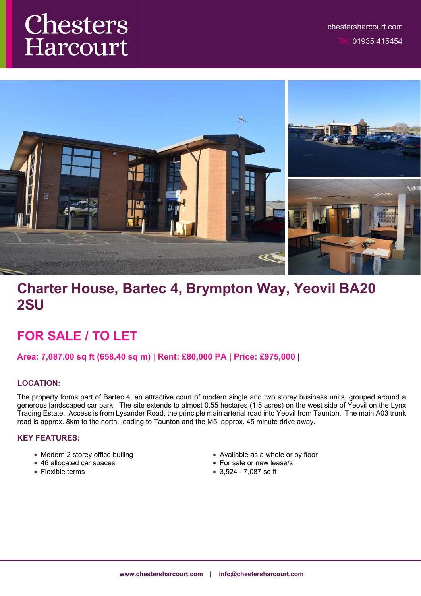# Chesters Harcourt



# **Charter House, Bartec 4, Brympton Way, Yeovil BA20 2SU**

## **FOR SALE / TO LET**

## **Area: 7,087.00 sq ft (658.40 sq m) | Rent: £80,000 PA | Price: £975,000 |**

## **LOCATION:**

The property forms part of Bartec 4, an attractive court of modern single and two storey business units, grouped around a generous landscaped car park. The site extends to almost 0.55 hectares (1.5 acres) on the west side of Yeovil on the Lynx Trading Estate. Access is from Lysander Road, the principle main arterial road into Yeovil from Taunton. The main A03 trunk road is approx. 8km to the north, leading to Taunton and the M5, approx. 45 minute drive away.

## **KEY FEATURES:**

- Modern 2 storey office builing
- 46 allocated car spaces
- Flexible terms
- Available as a whole or by floor
- For sale or new lease/s
- 3,524 7,087 sq ft